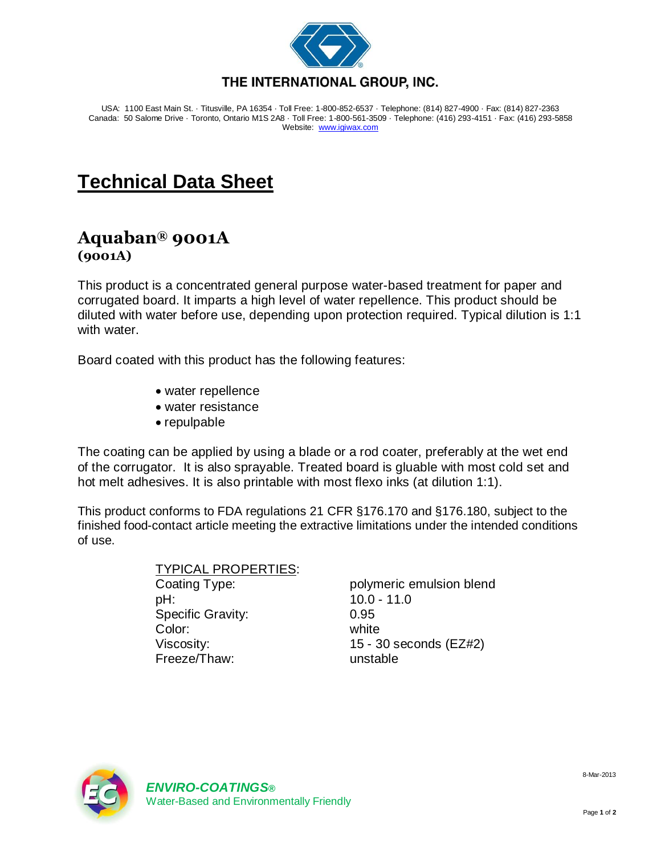

USA: 1100 East Main St. · Titusville, PA 16354 · Toll Free: 1-800-852-6537 · Telephone: (814) 827-4900 · Fax: (814) 827-2363 Canada: 50 Salome Drive · Toronto, Ontario M1S 2A8 · Toll Free: 1-800-561-3509 · Telephone: (416) 293-4151 · Fax: (416) 293-5858 Website: [www.igiwax.com](http://www.igiwax.com/)

## **Technical Data Sheet**

## **Aquaban® 9001A (9001A)**

This product is a concentrated general purpose water-based treatment for paper and corrugated board. It imparts a high level of water repellence. This product should be diluted with water before use, depending upon protection required. Typical dilution is 1:1 with water.

Board coated with this product has the following features:

- water repellence
- water resistance
- repulpable

The coating can be applied by using a blade or a rod coater, preferably at the wet end of the corrugator. It is also sprayable. Treated board is gluable with most cold set and hot melt adhesives. It is also printable with most flexo inks (at dilution 1:1).

This product conforms to FDA regulations 21 CFR §176.170 and §176.180, subject to the finished food-contact article meeting the extractive limitations under the intended conditions of use.

> TYPICAL PROPERTIES: Coating Type: polymeric emulsion blend pH: 10.0 - 11.0 Specific Gravity: 0.95 Color: white Viscosity: 15 - 30 seconds (EZ#2) Freeze/Thaw: unstable